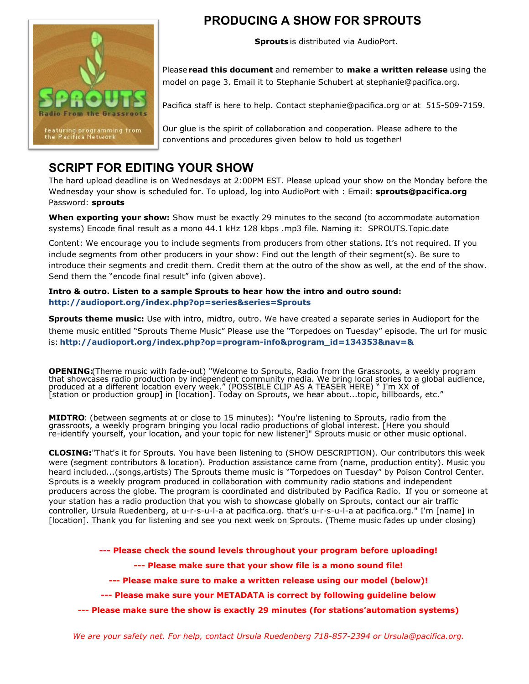

# **PRODUCING A SHOW FOR SPROUTS**

**Sprouts** is distributed via AudioPort.

Please **read this document** and remember to **make a written release** using the model on page 3. Email it to Stephanie Schubert at stephanie@pacifica.org.

Pacifica staff is here to help. Contact stephanie@pacifica.org or at 515-509-7159.

Our glue is the spirit of collaboration and cooperation. Please adhere to the conventions and procedures given below to hold us together!

### **SCRIPT FOR EDITING YOUR SHOW**

The hard upload deadline is on Wednesdays at 2:00PM EST. Please upload your show on the Monday before the Wednesday your show is scheduled for. To upload, log into AudioPort with : Email: **sprouts@pacifica.org** Password: **sprouts** 

**When exporting your show:** Show must be exactly 29 minutes to the second (to accommodate automation systems) Encode final result as a mono 44.1 kHz 128 kbps .mp3 file. Naming it: SPROUTS.Topic.date

Content: We encourage you to include segments from producers from other stations. It's not required. If you include segments from other producers in your show: Find out the length of their segment(s). Be sure to introduce their segments and credit them. Credit them at the outro of the show as well, at the end of the show. Send them the "encode final result" info (given above).

### **Intro & outro. Listen to a sample Sprouts to hear how the intro and outro sound: http://audioport.org/index.php?op=series&series=Sprouts**

**Sprouts theme music:** Use with intro, midtro, outro. We have created a separate series in Audioport for the theme music entitled "Sprouts Theme Music" Please use the "Torpedoes on Tuesday" episode. The url for music is: **http://audioport.org/index.php?op=program-info&program\_id=134353&nav=&**

**OPENING:** Theme music with fade-out) "Welcome to Sprouts, Radio from the Grassroots, a weekly program that showcases radio production by independent community media. We bring local stories to a global audience, produced at a different location every week." (POSSIBLE CLIP AS A TEASER HERE) " I'm XX of [station or production group] in [location]. Today on Sprouts, we hear about...topic, billboards, etc."

**MIDTRO**: (between segments at or close to 15 minutes): "You're listening to Sprouts, radio from the grassroots, a weekly program bringing you local radio productions of global interest. [Here you should re-identify yourself, your location, and your topic for new listener]" Sprouts music or other music optional.

**CLOSING:** "That's it for Sprouts. You have been listening to (SHOW DESCRIPTION). Our contributors this week were (segment contributors & location). Production assistance came from (name, production entity). Music you heard included...(songs,artists) The Sprouts theme music is "Torpedoes on Tuesday" by Poison Control Center. Sprouts is a weekly program produced in collaboration with community radio stations and independent producers across the globe. The program is coordinated and distributed by Pacifica Radio. If you or someone at your station has a radio production that you wish to showcase globally on Sprouts, contact our air traffic controller, Ursula Ruedenberg, at u-r-s-u-l-a at pacifica.org. that's u-r-s-u-l-a at pacifica.org." I'm [name] in [location]. Thank you for listening and see you next week on Sprouts. (Theme music fades up under closing)

**--- Please check the sound levels throughout your program before uploading!** 

**--- Please make sure that your show file is a mono sound file!** 

**--- Please make sure to make a written release using our model (below)!** 

**--- Please make sure your METADATA is correct by following guideline below** 

**--- Please make sure the show is exactly 29 minutes (for stations'automation systems)** 

*We are your safety net. For help, contact Ursula Ruedenberg 718-857-2394 or Ursula@pacifica.org.*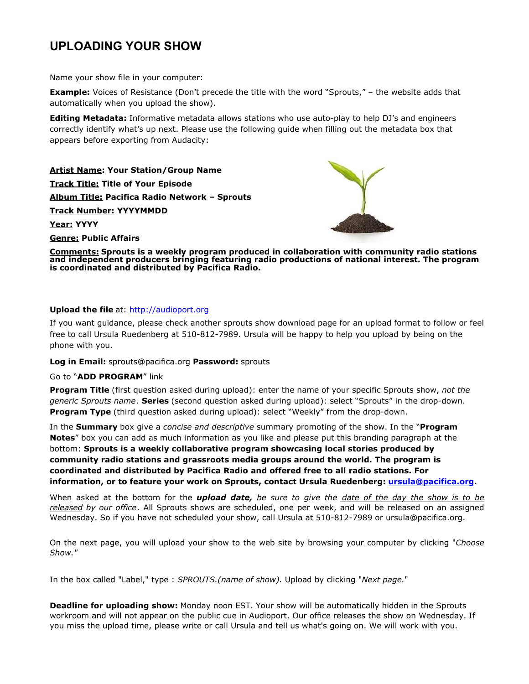# **UPLOADING YOUR SHOW**

Name your show file in your computer:

**Example:** Voices of Resistance (Don't precede the title with the word "Sprouts," – the website adds that automatically when you upload the show).

**Editing Metadata:** Informative metadata allows stations who use auto-play to help DJ's and engineers correctly identify what's up next. Please use the following guide when filling out the metadata box that appears before exporting from Audacity:

**Artist Name: Your Station/Group Name Track Title: Title of Your Episode Album Title: Pacifica Radio Network – Sprouts Track Number: YYYYMMDD Year: YYYY** 



**Genre: Public Affairs** 

**Comments: Sprouts is a weekly program produced in collaboration with community radio stations and independent producers bringing featuring radio productions of national interest. The program is coordinated and distributed by Pacifica Radio.** 

### **Upload the file** at: [http://audioport.org](http://audioport.org/)

If you want guidance, please check another sprouts show download page for an upload format to follow or feel free to call Ursula Ruedenberg at 510-812-7989. Ursula will be happy to help you upload by being on the phone with you.

**Log in Email:** sprouts@pacifica.org **Password:** sprouts

#### Go to "**ADD PROGRAM**" link

**Program Title** (first question asked during upload): enter the name of your specific Sprouts show, *not the generic Sprouts name*. **Series** (second question asked during upload): select "Sprouts" in the drop-down. **Program Type** (third question asked during upload): select "Weekly" from the drop-down.

In the **Summary** box give a *concise and descriptive* summary promoting of the show. In the "**Program Notes**" box you can add as much information as you like and please put this branding paragraph at the bottom: **Sprouts is a weekly collaborative program showcasing local stories produced by community radio stations and grassroots media groups around the world. The program is coordinated and distributed by Pacifica Radio and offered free to all radio stations. For information, or to feature your work on Sprouts, contact Ursula Ruedenberg: [ursula@pacifica.org](mailto:ursula@pacifica.org) .** 

When asked at the bottom for the *upload date, be sure to give the date of the day the show is to be released by our office*. All Sprouts shows are scheduled, one per week, and will be released on an assigned Wednesday. So if you have not scheduled your show, call Ursula at 510-812-7989 or ursula@pacifica.org.

On the next page, you will upload your show to the web site by browsing your computer by clicking "*Choose Show."*

In the box called "Label," type : *SPROUTS.(name of show).* Upload by clicking "*Next page.*"

**Deadline for uploading show:** Monday noon EST. Your show will be automatically hidden in the Sprouts workroom and will not appear on the public cue in Audioport. Our office releases the show on Wednesday. If you miss the upload time, please write or call Ursula and tell us what's going on. We will work with you.